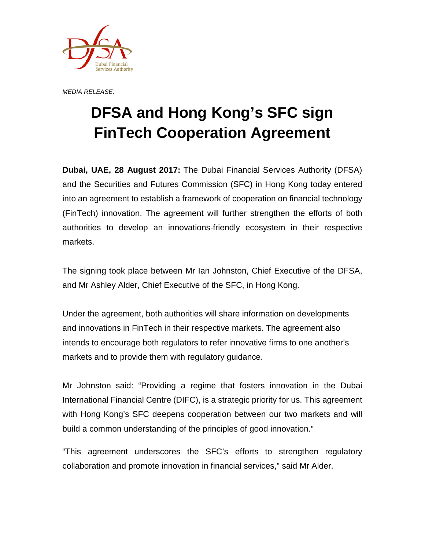

*MEDIA RELEASE:*

## **DFSA and Hong Kong's SFC sign FinTech Cooperation Agreement**

**Dubai, UAE, 28 August 2017:** The Dubai Financial Services Authority (DFSA) and the Securities and Futures Commission (SFC) in Hong Kong today entered into an agreement to establish a framework of cooperation on financial technology (FinTech) innovation. The agreement will further strengthen the efforts of both authorities to develop an innovations-friendly ecosystem in their respective markets.

The signing took place between Mr Ian Johnston, Chief Executive of the DFSA, and Mr Ashley Alder, Chief Executive of the SFC, in Hong Kong.

Under the agreement, both authorities will share information on developments and innovations in FinTech in their respective markets. The agreement also intends to encourage both regulators to refer innovative firms to one another's markets and to provide them with regulatory guidance.

Mr Johnston said: "Providing a regime that fosters innovation in the Dubai International Financial Centre (DIFC), is a strategic priority for us. This agreement with Hong Kong's SFC deepens cooperation between our two markets and will build a common understanding of the principles of good innovation."

"This agreement underscores the SFC's efforts to strengthen regulatory collaboration and promote innovation in financial services," said Mr Alder.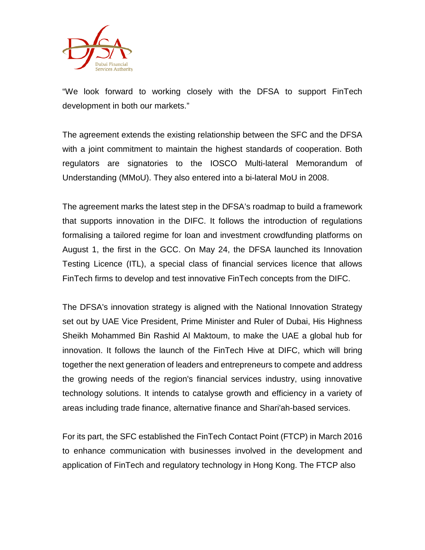

"We look forward to working closely with the DFSA to support FinTech development in both our markets."

The agreement extends the existing relationship between the SFC and the DFSA with a joint commitment to maintain the highest standards of cooperation. Both regulators are signatories to the IOSCO Multi-lateral Memorandum of Understanding (MMoU). They also entered into a bi-lateral MoU in 2008.

The agreement marks the latest step in the DFSA's roadmap to build a framework that supports innovation in the DIFC. It follows the introduction of regulations formalising a tailored regime for loan and investment crowdfunding platforms on August 1, the first in the GCC. On May 24, the DFSA launched its Innovation Testing Licence (ITL), a special class of financial services licence that allows FinTech firms to develop and test innovative FinTech concepts from the DIFC.

The DFSA's innovation strategy is aligned with the National Innovation Strategy set out by UAE Vice President, Prime Minister and Ruler of Dubai, His Highness Sheikh Mohammed Bin Rashid Al Maktoum, to make the UAE a global hub for innovation. It follows the launch of the FinTech Hive at DIFC, which will bring together the next generation of leaders and entrepreneurs to compete and address the growing needs of the region's financial services industry, using innovative technology solutions. It intends to catalyse growth and efficiency in a variety of areas including trade finance, alternative finance and Shari'ah-based services.

For its part, the SFC established the FinTech Contact Point (FTCP) in March 2016 to enhance communication with businesses involved in the development and application of FinTech and regulatory technology in Hong Kong. The FTCP also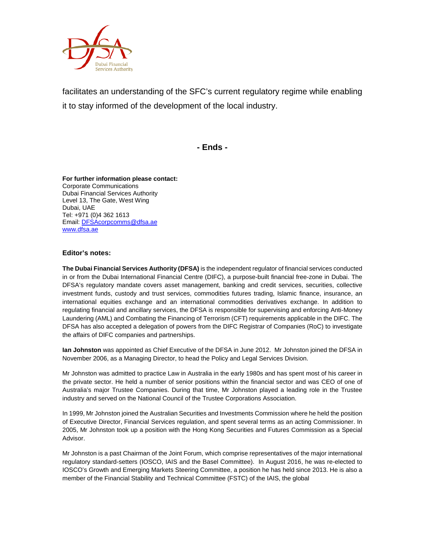

facilitates an understanding of the SFC's current regulatory regime while enabling it to stay informed of the development of the local industry.

**- Ends -**

## **For further information please contact:** Corporate Communications Dubai Financial Services Authority Level 13, The Gate, West Wing Dubai, UAE Tel: +971 (0)4 362 1613 Email[: DFSAcorpcomms@dfsa.ae](mailto:DFSAcorpcomms@dfsa.ae) [www.dfsa.ae](http://www.dfsa.ae/)

## **Editor's notes:**

**The Dubai Financial Services Authority (DFSA)** is the independent regulator of financial services conducted in or from the Dubai International Financial Centre (DIFC), a purpose-built financial free-zone in Dubai. The DFSA's regulatory mandate covers asset management, banking and credit services, securities, collective investment funds, custody and trust services, commodities futures trading, Islamic finance, insurance, an international equities exchange and an international commodities derivatives exchange. In addition to regulating financial and ancillary services, the DFSA is responsible for supervising and enforcing Anti-Money Laundering (AML) and Combating the Financing of Terrorism (CFT) requirements applicable in the DIFC. The DFSA has also accepted a delegation of powers from the DIFC Registrar of Companies (RoC) to investigate the affairs of DIFC companies and partnerships.

**Ian Johnston** was appointed as Chief Executive of the DFSA in June 2012. Mr Johnston joined the DFSA in November 2006, as a Managing Director, to head the Policy and Legal Services Division.

Mr Johnston was admitted to practice Law in Australia in the early 1980s and has spent most of his career in the private sector. He held a number of senior positions within the financial sector and was CEO of one of Australia's major Trustee Companies. During that time, Mr Johnston played a leading role in the Trustee industry and served on the National Council of the Trustee Corporations Association.

In 1999, Mr Johnston joined the Australian Securities and Investments Commission where he held the position of Executive Director, Financial Services regulation, and spent several terms as an acting Commissioner. In 2005, Mr Johnston took up a position with the Hong Kong Securities and Futures Commission as a Special Advisor.

Mr Johnston is a past Chairman of the Joint Forum, which comprise representatives of the major international regulatory standard-setters (IOSCO, IAIS and the Basel Committee). In August 2016, he was re-elected to IOSCO's Growth and Emerging Markets Steering Committee, a position he has held since 2013. He is also a member of the Financial Stability and Technical Committee (FSTC) of the IAIS, the global